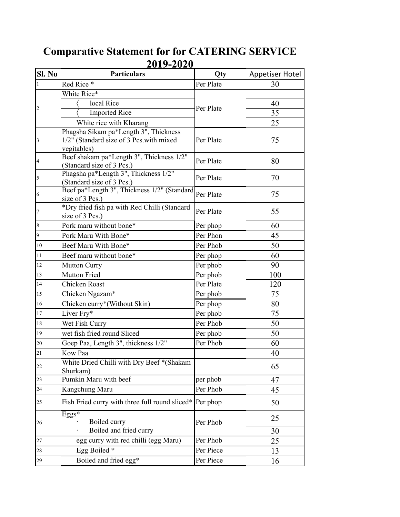## **Comparative Statement for for CATERING SERVICE 2019-2020**

| Red Rice*<br>30<br>Per Plate<br>$\mathbf{1}$<br>White Rice*<br>local Rice<br>40<br>Per Plate<br>$\overline{c}$<br><b>Imported Rice</b><br>35<br>White rice with Kharang<br>25<br>Phagsha Sikam pa*Length 3", Thickness<br>1/2" (Standard size of 3 Pcs.with mixed<br>75<br>Per Plate<br>vegitables)<br>Beef shakam pa*Length 3", Thickness 1/2"<br>Per Plate<br>80<br>(Standard size of 3 Pcs.)<br>Phagsha pa*Length 3", Thickness 1/2"<br>Per Plate<br>70<br>5<br>(Standard size of 3 Pcs.)<br>Beef pa*Length 3", Thickness 1/2" (Standard<br>Per Plate<br>75<br>6<br>size of 3 Pcs.)<br>*Dry fried fish pa with Red Chilli (Standard<br>Per Plate<br>55<br>$\overline{7}$<br>size of 3 Pcs.)<br>Pork maru without bone*<br>$\,8\,$<br>Per phop<br>60<br>$\vert$ 9<br>Pork Maru With Bone*<br>Per Phon<br>45<br>Beef Maru With Bone*<br>Per Phob<br>50<br>$10\,$<br>11<br>Beef maru without bone*<br>60<br>Per phop<br>Per phob<br><b>Mutton Curry</b><br>90<br>12<br><b>Mutton Fried</b><br>Per phob<br>13<br>100<br><b>Chicken Roast</b><br>Per Plate<br>120<br>14<br>75<br>Chicken Ngazam*<br>Per phob<br>15<br>Chicken curry*(Without Skin)<br>Per phop<br>80<br>16<br>75<br>Liver Fry*<br>Per phob<br>17<br>Wet Fish Curry<br>Per Phob<br>50<br>18<br>wet fish fried round Sliced<br>Per phob<br>19<br>50<br>Goep Paa, Length 3", thickness 1/2"<br>Per Phob<br>60<br>Kow Paa<br>40<br>White Dried Chilli with Dry Beef *(Shakam<br>65<br>Shurkam)<br>Pumkin Maru with beef<br>per phob<br>47<br>23<br>Per Phob<br>24<br>Kangchung Maru<br>45<br>Fish Fried curry with three full round sliced* Per phop<br>50<br>25<br>$Eggs*$<br>25<br>Boiled curry<br>Per Phob<br>26<br>Boiled and fried curry<br>30<br>Per Phob<br>egg curry with red chilli (egg Maru)<br>25<br>Egg Boiled *<br>Per Piece<br>13<br>Boiled and fried egg*<br>Per Piece<br>29<br>16 | SI. No         | <b>Particulars</b> | Qty | <b>Appetiser Hotel</b> |
|--------------------------------------------------------------------------------------------------------------------------------------------------------------------------------------------------------------------------------------------------------------------------------------------------------------------------------------------------------------------------------------------------------------------------------------------------------------------------------------------------------------------------------------------------------------------------------------------------------------------------------------------------------------------------------------------------------------------------------------------------------------------------------------------------------------------------------------------------------------------------------------------------------------------------------------------------------------------------------------------------------------------------------------------------------------------------------------------------------------------------------------------------------------------------------------------------------------------------------------------------------------------------------------------------------------------------------------------------------------------------------------------------------------------------------------------------------------------------------------------------------------------------------------------------------------------------------------------------------------------------------------------------------------------------------------------------------------------------------------------------------------------------------------------------------------------------------------------------------------|----------------|--------------------|-----|------------------------|
|                                                                                                                                                                                                                                                                                                                                                                                                                                                                                                                                                                                                                                                                                                                                                                                                                                                                                                                                                                                                                                                                                                                                                                                                                                                                                                                                                                                                                                                                                                                                                                                                                                                                                                                                                                                                                                                              |                |                    |     |                        |
|                                                                                                                                                                                                                                                                                                                                                                                                                                                                                                                                                                                                                                                                                                                                                                                                                                                                                                                                                                                                                                                                                                                                                                                                                                                                                                                                                                                                                                                                                                                                                                                                                                                                                                                                                                                                                                                              |                |                    |     |                        |
|                                                                                                                                                                                                                                                                                                                                                                                                                                                                                                                                                                                                                                                                                                                                                                                                                                                                                                                                                                                                                                                                                                                                                                                                                                                                                                                                                                                                                                                                                                                                                                                                                                                                                                                                                                                                                                                              |                |                    |     |                        |
|                                                                                                                                                                                                                                                                                                                                                                                                                                                                                                                                                                                                                                                                                                                                                                                                                                                                                                                                                                                                                                                                                                                                                                                                                                                                                                                                                                                                                                                                                                                                                                                                                                                                                                                                                                                                                                                              |                |                    |     |                        |
|                                                                                                                                                                                                                                                                                                                                                                                                                                                                                                                                                                                                                                                                                                                                                                                                                                                                                                                                                                                                                                                                                                                                                                                                                                                                                                                                                                                                                                                                                                                                                                                                                                                                                                                                                                                                                                                              |                |                    |     |                        |
|                                                                                                                                                                                                                                                                                                                                                                                                                                                                                                                                                                                                                                                                                                                                                                                                                                                                                                                                                                                                                                                                                                                                                                                                                                                                                                                                                                                                                                                                                                                                                                                                                                                                                                                                                                                                                                                              |                |                    |     |                        |
|                                                                                                                                                                                                                                                                                                                                                                                                                                                                                                                                                                                                                                                                                                                                                                                                                                                                                                                                                                                                                                                                                                                                                                                                                                                                                                                                                                                                                                                                                                                                                                                                                                                                                                                                                                                                                                                              | $\overline{3}$ |                    |     |                        |
|                                                                                                                                                                                                                                                                                                                                                                                                                                                                                                                                                                                                                                                                                                                                                                                                                                                                                                                                                                                                                                                                                                                                                                                                                                                                                                                                                                                                                                                                                                                                                                                                                                                                                                                                                                                                                                                              |                |                    |     |                        |
|                                                                                                                                                                                                                                                                                                                                                                                                                                                                                                                                                                                                                                                                                                                                                                                                                                                                                                                                                                                                                                                                                                                                                                                                                                                                                                                                                                                                                                                                                                                                                                                                                                                                                                                                                                                                                                                              | $\overline{4}$ |                    |     |                        |
|                                                                                                                                                                                                                                                                                                                                                                                                                                                                                                                                                                                                                                                                                                                                                                                                                                                                                                                                                                                                                                                                                                                                                                                                                                                                                                                                                                                                                                                                                                                                                                                                                                                                                                                                                                                                                                                              |                |                    |     |                        |
|                                                                                                                                                                                                                                                                                                                                                                                                                                                                                                                                                                                                                                                                                                                                                                                                                                                                                                                                                                                                                                                                                                                                                                                                                                                                                                                                                                                                                                                                                                                                                                                                                                                                                                                                                                                                                                                              |                |                    |     |                        |
|                                                                                                                                                                                                                                                                                                                                                                                                                                                                                                                                                                                                                                                                                                                                                                                                                                                                                                                                                                                                                                                                                                                                                                                                                                                                                                                                                                                                                                                                                                                                                                                                                                                                                                                                                                                                                                                              |                |                    |     |                        |
|                                                                                                                                                                                                                                                                                                                                                                                                                                                                                                                                                                                                                                                                                                                                                                                                                                                                                                                                                                                                                                                                                                                                                                                                                                                                                                                                                                                                                                                                                                                                                                                                                                                                                                                                                                                                                                                              |                |                    |     |                        |
|                                                                                                                                                                                                                                                                                                                                                                                                                                                                                                                                                                                                                                                                                                                                                                                                                                                                                                                                                                                                                                                                                                                                                                                                                                                                                                                                                                                                                                                                                                                                                                                                                                                                                                                                                                                                                                                              |                |                    |     |                        |
|                                                                                                                                                                                                                                                                                                                                                                                                                                                                                                                                                                                                                                                                                                                                                                                                                                                                                                                                                                                                                                                                                                                                                                                                                                                                                                                                                                                                                                                                                                                                                                                                                                                                                                                                                                                                                                                              |                |                    |     |                        |
|                                                                                                                                                                                                                                                                                                                                                                                                                                                                                                                                                                                                                                                                                                                                                                                                                                                                                                                                                                                                                                                                                                                                                                                                                                                                                                                                                                                                                                                                                                                                                                                                                                                                                                                                                                                                                                                              |                |                    |     |                        |
|                                                                                                                                                                                                                                                                                                                                                                                                                                                                                                                                                                                                                                                                                                                                                                                                                                                                                                                                                                                                                                                                                                                                                                                                                                                                                                                                                                                                                                                                                                                                                                                                                                                                                                                                                                                                                                                              |                |                    |     |                        |
|                                                                                                                                                                                                                                                                                                                                                                                                                                                                                                                                                                                                                                                                                                                                                                                                                                                                                                                                                                                                                                                                                                                                                                                                                                                                                                                                                                                                                                                                                                                                                                                                                                                                                                                                                                                                                                                              |                |                    |     |                        |
|                                                                                                                                                                                                                                                                                                                                                                                                                                                                                                                                                                                                                                                                                                                                                                                                                                                                                                                                                                                                                                                                                                                                                                                                                                                                                                                                                                                                                                                                                                                                                                                                                                                                                                                                                                                                                                                              |                |                    |     |                        |
|                                                                                                                                                                                                                                                                                                                                                                                                                                                                                                                                                                                                                                                                                                                                                                                                                                                                                                                                                                                                                                                                                                                                                                                                                                                                                                                                                                                                                                                                                                                                                                                                                                                                                                                                                                                                                                                              |                |                    |     |                        |
|                                                                                                                                                                                                                                                                                                                                                                                                                                                                                                                                                                                                                                                                                                                                                                                                                                                                                                                                                                                                                                                                                                                                                                                                                                                                                                                                                                                                                                                                                                                                                                                                                                                                                                                                                                                                                                                              |                |                    |     |                        |
|                                                                                                                                                                                                                                                                                                                                                                                                                                                                                                                                                                                                                                                                                                                                                                                                                                                                                                                                                                                                                                                                                                                                                                                                                                                                                                                                                                                                                                                                                                                                                                                                                                                                                                                                                                                                                                                              |                |                    |     |                        |
|                                                                                                                                                                                                                                                                                                                                                                                                                                                                                                                                                                                                                                                                                                                                                                                                                                                                                                                                                                                                                                                                                                                                                                                                                                                                                                                                                                                                                                                                                                                                                                                                                                                                                                                                                                                                                                                              |                |                    |     |                        |
|                                                                                                                                                                                                                                                                                                                                                                                                                                                                                                                                                                                                                                                                                                                                                                                                                                                                                                                                                                                                                                                                                                                                                                                                                                                                                                                                                                                                                                                                                                                                                                                                                                                                                                                                                                                                                                                              |                |                    |     |                        |
|                                                                                                                                                                                                                                                                                                                                                                                                                                                                                                                                                                                                                                                                                                                                                                                                                                                                                                                                                                                                                                                                                                                                                                                                                                                                                                                                                                                                                                                                                                                                                                                                                                                                                                                                                                                                                                                              |                |                    |     |                        |
|                                                                                                                                                                                                                                                                                                                                                                                                                                                                                                                                                                                                                                                                                                                                                                                                                                                                                                                                                                                                                                                                                                                                                                                                                                                                                                                                                                                                                                                                                                                                                                                                                                                                                                                                                                                                                                                              |                |                    |     |                        |
|                                                                                                                                                                                                                                                                                                                                                                                                                                                                                                                                                                                                                                                                                                                                                                                                                                                                                                                                                                                                                                                                                                                                                                                                                                                                                                                                                                                                                                                                                                                                                                                                                                                                                                                                                                                                                                                              |                |                    |     |                        |
|                                                                                                                                                                                                                                                                                                                                                                                                                                                                                                                                                                                                                                                                                                                                                                                                                                                                                                                                                                                                                                                                                                                                                                                                                                                                                                                                                                                                                                                                                                                                                                                                                                                                                                                                                                                                                                                              | 20             |                    |     |                        |
|                                                                                                                                                                                                                                                                                                                                                                                                                                                                                                                                                                                                                                                                                                                                                                                                                                                                                                                                                                                                                                                                                                                                                                                                                                                                                                                                                                                                                                                                                                                                                                                                                                                                                                                                                                                                                                                              | 21             |                    |     |                        |
|                                                                                                                                                                                                                                                                                                                                                                                                                                                                                                                                                                                                                                                                                                                                                                                                                                                                                                                                                                                                                                                                                                                                                                                                                                                                                                                                                                                                                                                                                                                                                                                                                                                                                                                                                                                                                                                              | 22             |                    |     |                        |
|                                                                                                                                                                                                                                                                                                                                                                                                                                                                                                                                                                                                                                                                                                                                                                                                                                                                                                                                                                                                                                                                                                                                                                                                                                                                                                                                                                                                                                                                                                                                                                                                                                                                                                                                                                                                                                                              |                |                    |     |                        |
|                                                                                                                                                                                                                                                                                                                                                                                                                                                                                                                                                                                                                                                                                                                                                                                                                                                                                                                                                                                                                                                                                                                                                                                                                                                                                                                                                                                                                                                                                                                                                                                                                                                                                                                                                                                                                                                              |                |                    |     |                        |
|                                                                                                                                                                                                                                                                                                                                                                                                                                                                                                                                                                                                                                                                                                                                                                                                                                                                                                                                                                                                                                                                                                                                                                                                                                                                                                                                                                                                                                                                                                                                                                                                                                                                                                                                                                                                                                                              |                |                    |     |                        |
|                                                                                                                                                                                                                                                                                                                                                                                                                                                                                                                                                                                                                                                                                                                                                                                                                                                                                                                                                                                                                                                                                                                                                                                                                                                                                                                                                                                                                                                                                                                                                                                                                                                                                                                                                                                                                                                              |                |                    |     |                        |
|                                                                                                                                                                                                                                                                                                                                                                                                                                                                                                                                                                                                                                                                                                                                                                                                                                                                                                                                                                                                                                                                                                                                                                                                                                                                                                                                                                                                                                                                                                                                                                                                                                                                                                                                                                                                                                                              |                |                    |     |                        |
|                                                                                                                                                                                                                                                                                                                                                                                                                                                                                                                                                                                                                                                                                                                                                                                                                                                                                                                                                                                                                                                                                                                                                                                                                                                                                                                                                                                                                                                                                                                                                                                                                                                                                                                                                                                                                                                              |                |                    |     |                        |
|                                                                                                                                                                                                                                                                                                                                                                                                                                                                                                                                                                                                                                                                                                                                                                                                                                                                                                                                                                                                                                                                                                                                                                                                                                                                                                                                                                                                                                                                                                                                                                                                                                                                                                                                                                                                                                                              | 27             |                    |     |                        |
|                                                                                                                                                                                                                                                                                                                                                                                                                                                                                                                                                                                                                                                                                                                                                                                                                                                                                                                                                                                                                                                                                                                                                                                                                                                                                                                                                                                                                                                                                                                                                                                                                                                                                                                                                                                                                                                              | 28             |                    |     |                        |
|                                                                                                                                                                                                                                                                                                                                                                                                                                                                                                                                                                                                                                                                                                                                                                                                                                                                                                                                                                                                                                                                                                                                                                                                                                                                                                                                                                                                                                                                                                                                                                                                                                                                                                                                                                                                                                                              |                |                    |     |                        |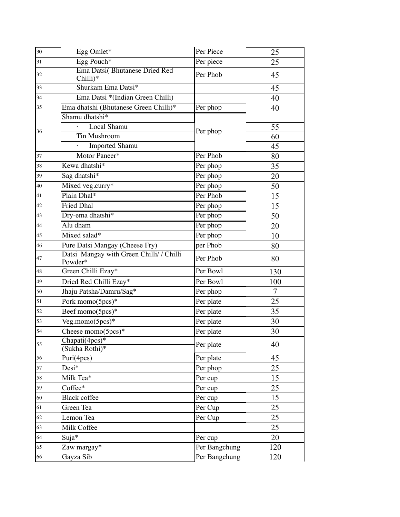| 30 | Egg Omlet*                                                  | Per Piece     | 25     |
|----|-------------------------------------------------------------|---------------|--------|
| 31 | Egg Pouch*                                                  | Per piece     | 25     |
| 32 | Ema Datsi(Bhutanese Dried Red<br>Chilli)*                   | Per Phob      | 45     |
| 33 | Shurkam Ema Datsi*                                          |               | 45     |
| 34 | Ema Datsi *(Indian Green Chilli)                            |               | 40     |
| 35 | Ema dhatshi (Bhutanese Green Chilli)*                       | Per phop      | 40     |
|    | Shamu dhatshi*                                              | Per phop      |        |
| 36 | Local Shamu                                                 |               | 55     |
|    | Tin Mushroom                                                |               | 60     |
|    | <b>Imported Shamu</b>                                       |               | 45     |
| 37 | Motor Paneer*                                               | Per Phob      | 80     |
| 38 | Kewa dhatshi*                                               | Per phop      | 35     |
| 39 | Sag dhatshi*                                                | Per phop      | 20     |
| 40 | Mixed veg.curry*                                            | Per phop      | 50     |
| 41 | Plain Dhal*                                                 | Per Phob      | 15     |
| 42 | <b>Fried Dhal</b>                                           | Per phop      | 15     |
| 43 | Dry-ema dhatshi*                                            | Per phop      | 50     |
| 44 | Alu dham                                                    | Per phop      | 20     |
| 45 | Mixed salad*                                                | Per phop      | 10     |
| 46 | Pure Datsi Mangay (Cheese Fry)                              | per Phob      | 80     |
| 47 | Datsi Mangay with Green Chilli/ / Chilli<br>Powder*         | Per Phob      | 80     |
| 48 | Green Chilli Ezay*                                          | Per Bowl      | 130    |
| 49 | Dried Red Chilli Ezay*                                      | Per Bowl      | 100    |
| 50 | Jhaju Patsha/Damru/Sag*                                     | Per phop      | $\tau$ |
| 51 | Pork momo(5pcs)*                                            | Per plate     | 25     |
| 52 | Beef momo(5pcs)*                                            | Per plate     | 35     |
| 53 | Veg.momo(5pcs)*                                             | Per plate     | 30     |
| 54 | Cheese momo(5pcs)*                                          | Per plate     | 30     |
| 55 | $\overline{\text{Chapati}(4pc\text{s})^*}$<br>Sukha Rothi)* | Per plate     | 40     |
| 56 | Puri(4pcs)                                                  | Per plate     | 45     |
| 57 | Desi*                                                       | Per phop      | 25     |
| 58 | Milk Tea <sup>*</sup>                                       | Per cup       | 15     |
| 59 | Coffee*                                                     | Per cup       | 25     |
| 60 | <b>Black coffee</b>                                         | Per cup       | 15     |
| 61 | Green Tea                                                   | Per Cup       | 25     |
| 62 | Lemon Tea                                                   | Per Cup       | 25     |
| 63 | Milk Coffee                                                 |               | 25     |
| 64 | Suja*                                                       | Per cup       | 20     |
| 65 | Zaw margay*                                                 | Per Bangchung | 120    |
| 66 | Gayza Sib                                                   | Per Bangchung | 120    |